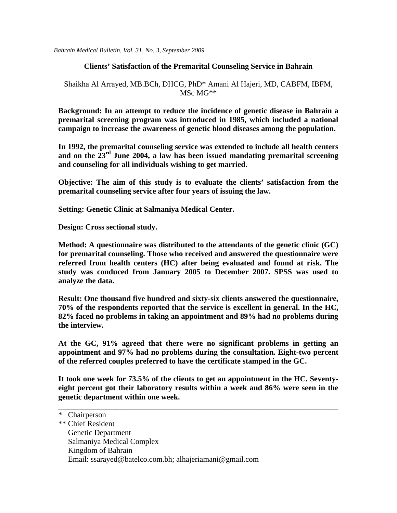*Bahrain Medical Bulletin, Vol. 31, No. 3, September 2009* 

### **Clients' Satisfaction of the Premarital Counseling Service in Bahrain**

### Shaikha Al Arrayed, MB.BCh, DHCG, PhD\* Amani Al Hajeri, MD, CABFM, IBFM, MSc MG\*\*

**Background: In an attempt to reduce the incidence of genetic disease in Bahrain a premarital screening program was introduced in 1985, which included a national campaign to increase the awareness of genetic blood diseases among the population.** 

**In 1992, the premarital counseling service was extended to include all health centers and on the 23rd June 2004, a law has been issued mandating premarital screening and counseling for all individuals wishing to get married.** 

**Objective: The aim of this study is to evaluate the clients' satisfaction from the premarital counseling service after four years of issuing the law.** 

**Setting: Genetic Clinic at Salmaniya Medical Center.** 

**Design: Cross sectional study.** 

**Method: A questionnaire was distributed to the attendants of the genetic clinic (GC) for premarital counseling. Those who received and answered the questionnaire were referred from health centers (HC) after being evaluated and found at risk. The study was conduced from January 2005 to December 2007. SPSS was used to analyze the data.** 

**Result: One thousand five hundred and sixty-six clients answered the questionnaire, 70% of the respondents reported that the service is excellent in general. In the HC, 82% faced no problems in taking an appointment and 89% had no problems during the interview.** 

**At the GC, 91% agreed that there were no significant problems in getting an appointment and 97% had no problems during the consultation. Eight-two percent of the referred couples preferred to have the certificate stamped in the GC.** 

**It took one week for 73.5% of the clients to get an appointment in the HC. Seventyeight percent got their laboratory results within a week and 86% were seen in the genetic department within one week.** 

**\_\_\_\_\_\_\_\_\_\_\_\_\_\_\_\_\_\_\_\_\_\_\_\_\_\_\_\_\_\_\_\_\_\_\_\_\_\_\_\_\_\_\_\_\_\_\_\_\_\_\_\_\_\_\_\_\_\_\_\_\_\_\_\_\_\_\_\_\_\_\_\_** 

| -12 | Chairperson       |
|-----|-------------------|
|     | ** Chief Resident |

 $\overline{u}$   $\overline{c}$   $\overline{u}$   $\overline{c}$ 

- Genetic Department
- Salmaniya Medical Complex
- Kingdom of Bahrain
- Email: [ssarayed@batelco.com.bh;](mailto:ssarayed@batelco.com.bh) [alhajeriamani@gmail.com](mailto:alhajeriamani@gmail.com)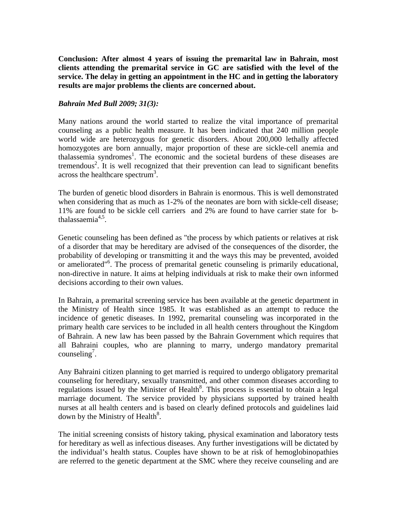**Conclusion: After almost 4 years of issuing the premarital law in Bahrain, most clients attending the premarital service in GC are satisfied with the level of the service. The delay in getting an appointment in the HC and in getting the laboratory results are major problems the clients are concerned about.** 

### *Bahrain Med Bull 2009; 31(3):*

Many nations around the world started to realize the vital importance of premarital counseling as a public health measure. It has been indicated that 240 million people world wide are heterozygous for genetic disorders. About 200,000 lethally affected homozygotes are born annually, major proportion of these are sickle-cell anemia and thalassemia syndromes<sup>1</sup>. The economic and the societal burdens of these diseases are tremendous<sup>2</sup>. It is well recognized that their prevention can lead to significant benefits across the healthcare spectrum<sup>3</sup>.

The burden of genetic blood disorders in Bahrain is enormous. This is well demonstrated when considering that as much as  $1-2\%$  of the neonates are born with sickle-cell disease; 11% are found to be sickle cell carriers and 2% are found to have carrier state for bthalassaemia $4.5$ .

Genetic counseling has been defined as "the process by which patients or relatives at risk of a disorder that may be hereditary are advised of the consequences of the disorder, the probability of developing or transmitting it and the ways this may be prevented, avoided or ameliorated<sup>"6</sup>. The process of premarital genetic counseling is primarily educational, non-directive in nature. It aims at helping individuals at risk to make their own informed decisions according to their own values.

In Bahrain, a premarital screening service has been available at the genetic department in the Ministry of Health since 1985. It was established as an attempt to reduce the incidence of genetic diseases. In 1992, premarital counseling was incorporated in the primary health care services to be included in all health centers throughout the Kingdom of Bahrain. A new law has been passed by the Bahrain Government which requires that all Bahraini couples, who are planning to marry, undergo mandatory premarital counseling<sup>7</sup>.

Any Bahraini citizen planning to get married is required to undergo obligatory premarital counseling for hereditary, sexually transmitted, and other common diseases according to regulations issued by the Minister of Health $8$ . This process is essential to obtain a legal marriage document. The service provided by physicians supported by trained health nurses at all health centers and is based on clearly defined protocols and guidelines laid down by the Ministry of Health $8$ .

The initial screening consists of history taking, physical examination and laboratory tests for hereditary as well as infectious diseases. Any further investigations will be dictated by the individual's health status. Couples have shown to be at risk of hemoglobinopathies are referred to the genetic department at the SMC where they receive counseling and are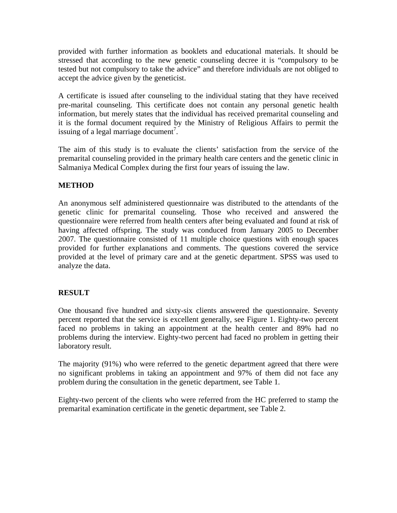provided with further information as booklets and educational materials. It should be stressed that according to the new genetic counseling decree it is "compulsory to be tested but not compulsory to take the advice" and therefore individuals are not obliged to accept the advice given by the geneticist.

A certificate is issued after counseling to the individual stating that they have received pre-marital counseling. This certificate does not contain any personal genetic health information, but merely states that the individual has received premarital counseling and it is the formal document required by the Ministry of Religious Affairs to permit the issuing of a legal marriage document<sup>7</sup>.

The aim of this study is to evaluate the clients' satisfaction from the service of the premarital counseling provided in the primary health care centers and the genetic clinic in Salmaniya Medical Complex during the first four years of issuing the law.

## **METHOD**

An anonymous self administered questionnaire was distributed to the attendants of the genetic clinic for premarital counseling. Those who received and answered the questionnaire were referred from health centers after being evaluated and found at risk of having affected offspring. The study was conduced from January 2005 to December 2007. The questionnaire consisted of 11 multiple choice questions with enough spaces provided for further explanations and comments. The questions covered the service provided at the level of primary care and at the genetic department. SPSS was used to analyze the data.

### **RESULT**

One thousand five hundred and sixty-six clients answered the questionnaire. Seventy percent reported that the service is excellent generally, see Figure 1. Eighty-two percent faced no problems in taking an appointment at the health center and 89% had no problems during the interview. Eighty-two percent had faced no problem in getting their laboratory result.

The majority (91%) who were referred to the genetic department agreed that there were no significant problems in taking an appointment and 97% of them did not face any problem during the consultation in the genetic department, see Table 1.

Eighty-two percent of the clients who were referred from the HC preferred to stamp the premarital examination certificate in the genetic department, see Table 2.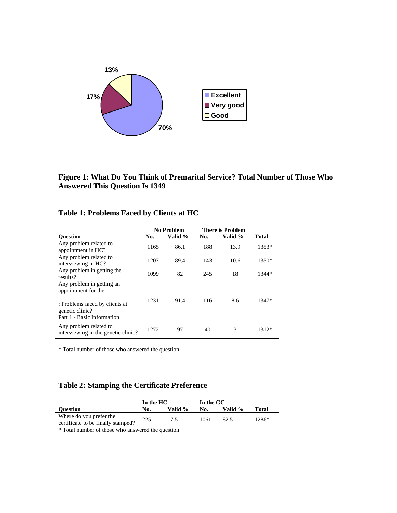

**Figure 1: What Do You Think of Premarital Service? Total Number of Those Who Answered This Question Is 1349** 

# **Table 1: Problems Faced by Clients at HC**

|                                                                                 |      | <b>No Problem</b> | <b>There is Problem</b> |         |         |
|---------------------------------------------------------------------------------|------|-------------------|-------------------------|---------|---------|
| <b>Ouestion</b>                                                                 | No.  | Valid %           | No.                     | Valid % | Total   |
| Any problem related to<br>appointment in HC?                                    | 1165 | 86.1              | 188                     | 13.9    | $1353*$ |
| Any problem related to<br>interviewing in HC?                                   | 1207 | 89.4              | 143                     | 10.6    | 1350*   |
| Any problem in getting the<br>results?                                          | 1099 | 82                | 245                     | 18      | 1344*   |
| Any problem in getting an<br>appointment for the                                |      |                   |                         |         |         |
| : Problems faced by clients at<br>genetic clinic?<br>Part 1 - Basic Information | 1231 | 91.4              | 116                     | 8.6     | 1347*   |
| Any problem related to<br>interviewing in the genetic clinic?                   | 1272 | 97                | 40                      | 3       | $1312*$ |

\* Total number of those who answered the question

# **Table 2: Stamping the Certificate Preference**

|                                                               | In the HC |         | In the GC |         |         |
|---------------------------------------------------------------|-----------|---------|-----------|---------|---------|
| <b>Ouestion</b>                                               | No.       | Valid % | No.       | Valid % | Total   |
| Where do you prefer the<br>certificate to be finally stamped? | 225       | 17.5    | 1061      | 82.5    | $1286*$ |

**\*** Total number of those who answered the question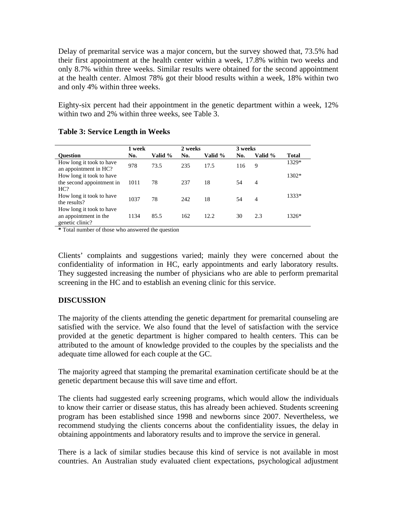Delay of premarital service was a major concern, but the survey showed that, 73.5% had their first appointment at the health center within a week, 17.8% within two weeks and only 8.7% within three weeks. Similar results were obtained for the second appointment at the health center. Almost 78% got their blood results within a week, 18% within two and only 4% within three weeks.

Eighty-six percent had their appointment in the genetic department within a week, 12% within two and 2% within three weeks, see Table 3.

|                                                                      | 1 week |         | 2 weeks |         | 3 weeks |                |       |
|----------------------------------------------------------------------|--------|---------|---------|---------|---------|----------------|-------|
| <b>Ouestion</b>                                                      | No.    | Valid % | No.     | Valid % | No.     | Valid %        | Total |
| How long it took to have<br>an appointment in HC?                    | 978    | 73.5    | 235     | 17.5    | 116     | -9             | 1329* |
| How long it took to have<br>the second appointment in<br>HC?         | 1011   | 78      | 237     | 18      | 54      | $\overline{4}$ | 1302* |
| How long it took to have<br>the results?                             | 1037   | 78      | 242     | 18      | 54      | 4              | 1333* |
| How long it took to have<br>an appointment in the<br>genetic clinic? | 1134   | 85.5    | 162     | 12.2    | 30      | 2.3            | 1326* |

### **Table 3: Service Length in Weeks**

**\*** Total number of those who answered the question

Clients' complaints and suggestions varied; mainly they were concerned about the confidentiality of information in HC, early appointments and early laboratory results. They suggested increasing the number of physicians who are able to perform premarital screening in the HC and to establish an evening clinic for this service.

## **DISCUSSION**

The majority of the clients attending the genetic department for premarital counseling are satisfied with the service. We also found that the level of satisfaction with the service provided at the genetic department is higher compared to health centers. This can be attributed to the amount of knowledge provided to the couples by the specialists and the adequate time allowed for each couple at the GC.

The majority agreed that stamping the premarital examination certificate should be at the genetic department because this will save time and effort.

The clients had suggested early screening programs, which would allow the individuals to know their carrier or disease status, this has already been achieved. Students screening program has been established since 1998 and newborns since 2007. Nevertheless, we recommend studying the clients concerns about the confidentiality issues, the delay in obtaining appointments and laboratory results and to improve the service in general.

There is a lack of similar studies because this kind of service is not available in most countries. An Australian study evaluated client expectations, psychological adjustment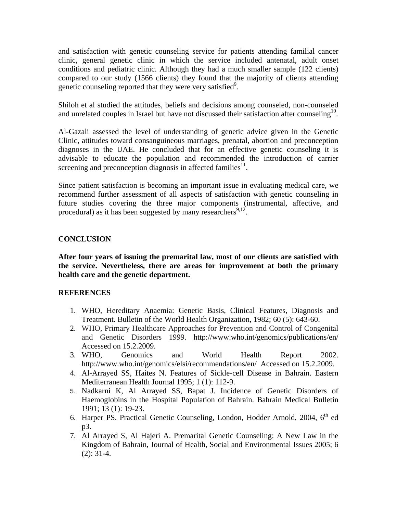and satisfaction with genetic counseling service for patients attending familial cancer clinic, general genetic clinic in which the service included antenatal, adult onset conditions and pediatric clinic. Although they had a much smaller sample (122 clients) compared to our study (1566 clients) they found that the majority of clients attending genetic counseling reported that they were very satisfied<sup>9</sup>.

Shiloh et al studied the attitudes, beliefs and decisions among counseled, non-counseled and unrelated couples in Israel but have not discussed their satisfaction after counseling<sup>10</sup>.

Al-Gazali assessed the level of understanding of genetic advice given in the Genetic Clinic, attitudes toward consanguineous marriages, prenatal, abortion and preconception diagnoses in the UAE. He concluded that for an effective genetic counseling it is advisable to educate the population and recommended the introduction of carrier screening and preconception diagnosis in affected families $^{11}$ .

Since patient satisfaction is becoming an important issue in evaluating medical care, we recommend further assessment of all aspects of satisfaction with genetic counseling in future studies covering the three major components (instrumental, affective, and procedural) as it has been suggested by many researchers<sup>9,12</sup>.

### **CONCLUSION**

**After four years of issuing the premarital law, most of our clients are satisfied with the service. Nevertheless, there are areas for improvement at both the primary health care and the genetic department.** 

### **REFERENCES**

- 1. WHO, Hereditary Anaemia: Genetic Basis, Clinical Features, Diagnosis and Treatment. Bulletin of the World Health Organization, 1982; 60 (5): 643-60.
- 2. WHO, Primary Healthcare Approaches for Prevention and Control of Congenital and Genetic Disorders 1999. <http://www.who.int/genomics/publications/en/> Accessed on 15.2.2009.
- 3. WHO, Genomics and World Health Report 2002. http://www.who.int/genomics/elsi/recommendations/en/ Accessed on 15.2.2009.
- 4. Al-Arrayed SS, Haites N. Features of Sickle-cell Disease in Bahrain. Eastern Mediterranean Health Journal 1995; 1 (1): 112-9.
- 5. Nadkarni K, Al Arrayed SS, Bapat J. Incidence of Genetic Disorders of Haemoglobins in the Hospital Population of Bahrain. Bahrain Medical Bulletin 1991; 13 (1): 19-23.
- 6. Harper PS. Practical Genetic Counseling, London, Hodder Arnold,  $2004$ ,  $6<sup>th</sup>$  ed p3.
- 7. Al Arrayed S, Al Hajeri A. Premarital Genetic Counseling: A New Law in the Kingdom of Bahrain, Journal of Health, Social and Environmental Issues 2005; 6 (2): 31-4.